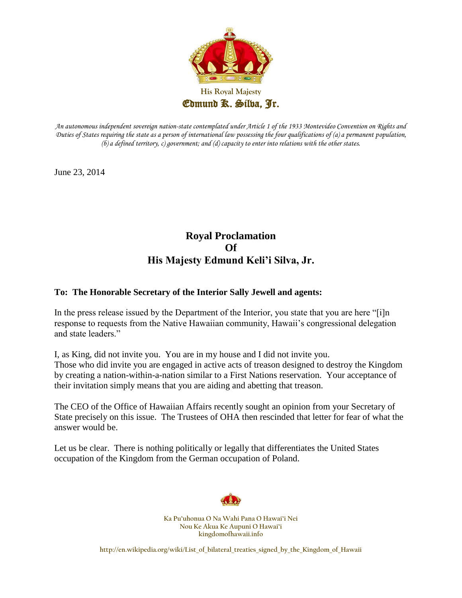

*An autonomous independent sovereign nation-state contemplated under Article 1 of the 1933 Montevideo Convention on Rights and Duties of States requiring the state as a person of international law possessing the four qualifications of (a) a permanent population, (b) a defined territory, c) government; and (d) capacity to enter into relations with the other states.* 

June 23, 2014

# **Royal Proclamation Of His Majesty Edmund Keli'i Silva, Jr.**

# **To: The Honorable Secretary of the Interior Sally Jewell and agents:**

In the press release issued by the Department of the Interior, you state that you are here "[i]n response to requests from the Native Hawaiian community, Hawaii's congressional delegation and state leaders."

I, as King, did not invite you. You are in my house and I did not invite you. Those who did invite you are engaged in active acts of treason designed to destroy the Kingdom by creating a nation-within-a-nation similar to a First Nations reservation. Your acceptance of their invitation simply means that you are aiding and abetting that treason.

The CEO of the Office of Hawaiian Affairs recently sought an opinion from your Secretary of State precisely on this issue. The Trustees of OHA then rescinded that letter for fear of what the answer would be.

Let us be clear. There is nothing politically or legally that differentiates the United States occupation of the Kingdom from the German occupation of Poland.



**Ka Pu'uhonua O Na Wahi Pana O Hawai'i Nei Nou Ke Akua Ke Aupuni O Hawai'i kingdomofhawaii.info**

**http://en.wikipedia.org/wiki/List\_of\_bilateral\_treaties\_signed\_by\_the\_Kingdom\_of\_Hawaii**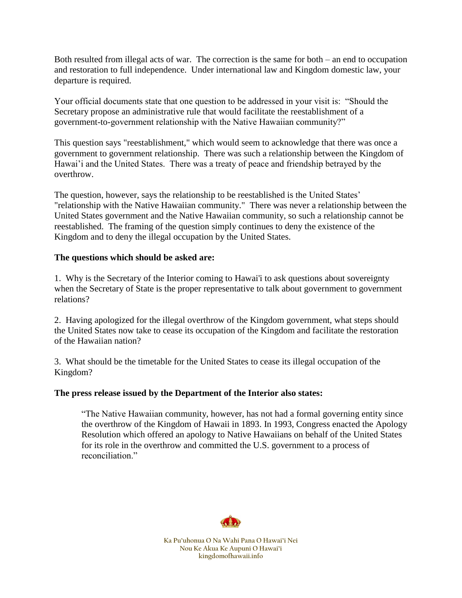Both resulted from illegal acts of war. The correction is the same for both – an end to occupation and restoration to full independence. Under international law and Kingdom domestic law, your departure is required.

Your official documents state that one question to be addressed in your visit is: "Should the Secretary propose an administrative rule that would facilitate the reestablishment of a government-to-government relationship with the Native Hawaiian community?"

This question says "reestablishment," which would seem to acknowledge that there was once a government to government relationship. There was such a relationship between the Kingdom of Hawai'i and the United States. There was a treaty of peace and friendship betrayed by the overthrow.

The question, however, says the relationship to be reestablished is the United States' "relationship with the Native Hawaiian community." There was never a relationship between the United States government and the Native Hawaiian community, so such a relationship cannot be reestablished. The framing of the question simply continues to deny the existence of the Kingdom and to deny the illegal occupation by the United States.

# **The questions which should be asked are:**

1. Why is the Secretary of the Interior coming to Hawai'i to ask questions about sovereignty when the Secretary of State is the proper representative to talk about government to government relations?

2. Having apologized for the illegal overthrow of the Kingdom government, what steps should the United States now take to cease its occupation of the Kingdom and facilitate the restoration of the Hawaiian nation?

3. What should be the timetable for the United States to cease its illegal occupation of the Kingdom?

### **The press release issued by the Department of the Interior also states:**

"The Native Hawaiian community, however, has not had a formal governing entity since the overthrow of the Kingdom of Hawaii in 1893. In 1993, Congress enacted the Apology Resolution which offered an apology to Native Hawaiians on behalf of the United States for its role in the overthrow and committed the U.S. government to a process of reconciliation."

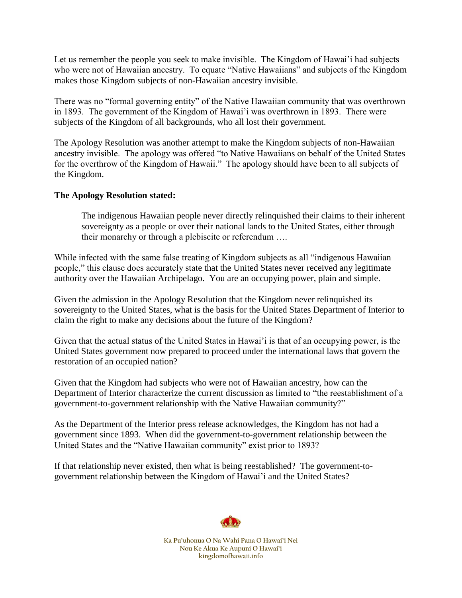Let us remember the people you seek to make invisible. The Kingdom of Hawai'i had subjects who were not of Hawaiian ancestry. To equate "Native Hawaiians" and subjects of the Kingdom makes those Kingdom subjects of non-Hawaiian ancestry invisible.

There was no "formal governing entity" of the Native Hawaiian community that was overthrown in 1893. The government of the Kingdom of Hawai'i was overthrown in 1893. There were subjects of the Kingdom of all backgrounds, who all lost their government.

The Apology Resolution was another attempt to make the Kingdom subjects of non-Hawaiian ancestry invisible. The apology was offered "to Native Hawaiians on behalf of the United States for the overthrow of the Kingdom of Hawaii." The apology should have been to all subjects of the Kingdom.

# **The Apology Resolution stated:**

The indigenous Hawaiian people never directly relinquished their claims to their inherent sovereignty as a people or over their national lands to the United States, either through their monarchy or through a plebiscite or referendum ….

While infected with the same false treating of Kingdom subjects as all "indigenous Hawaiian people," this clause does accurately state that the United States never received any legitimate authority over the Hawaiian Archipelago. You are an occupying power, plain and simple.

Given the admission in the Apology Resolution that the Kingdom never relinquished its sovereignty to the United States, what is the basis for the United States Department of Interior to claim the right to make any decisions about the future of the Kingdom?

Given that the actual status of the United States in Hawai'i is that of an occupying power, is the United States government now prepared to proceed under the international laws that govern the restoration of an occupied nation?

Given that the Kingdom had subjects who were not of Hawaiian ancestry, how can the Department of Interior characterize the current discussion as limited to "the reestablishment of a government-to-government relationship with the Native Hawaiian community?"

As the Department of the Interior press release acknowledges, the Kingdom has not had a government since 1893. When did the government-to-government relationship between the United States and the "Native Hawaiian community" exist prior to 1893?

If that relationship never existed, then what is being reestablished? The government-togovernment relationship between the Kingdom of Hawai'i and the United States?

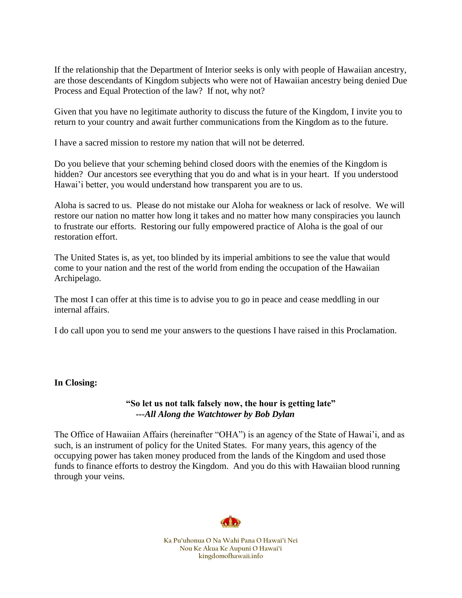If the relationship that the Department of Interior seeks is only with people of Hawaiian ancestry, are those descendants of Kingdom subjects who were not of Hawaiian ancestry being denied Due Process and Equal Protection of the law? If not, why not?

Given that you have no legitimate authority to discuss the future of the Kingdom, I invite you to return to your country and await further communications from the Kingdom as to the future.

I have a sacred mission to restore my nation that will not be deterred.

Do you believe that your scheming behind closed doors with the enemies of the Kingdom is hidden? Our ancestors see everything that you do and what is in your heart. If you understood Hawai'i better, you would understand how transparent you are to us.

Aloha is sacred to us. Please do not mistake our Aloha for weakness or lack of resolve. We will restore our nation no matter how long it takes and no matter how many conspiracies you launch to frustrate our efforts. Restoring our fully empowered practice of Aloha is the goal of our restoration effort.

The United States is, as yet, too blinded by its imperial ambitions to see the value that would come to your nation and the rest of the world from ending the occupation of the Hawaiian Archipelago.

The most I can offer at this time is to advise you to go in peace and cease meddling in our internal affairs.

I do call upon you to send me your answers to the questions I have raised in this Proclamation.

### **In Closing:**

### **"So let us not talk falsely now, the hour is getting late"** *---All Along the Watchtower by Bob Dylan*

The Office of Hawaiian Affairs (hereinafter "OHA") is an agency of the State of Hawai'i, and as such, is an instrument of policy for the United States. For many years, this agency of the occupying power has taken money produced from the lands of the Kingdom and used those funds to finance efforts to destroy the Kingdom. And you do this with Hawaiian blood running through your veins.

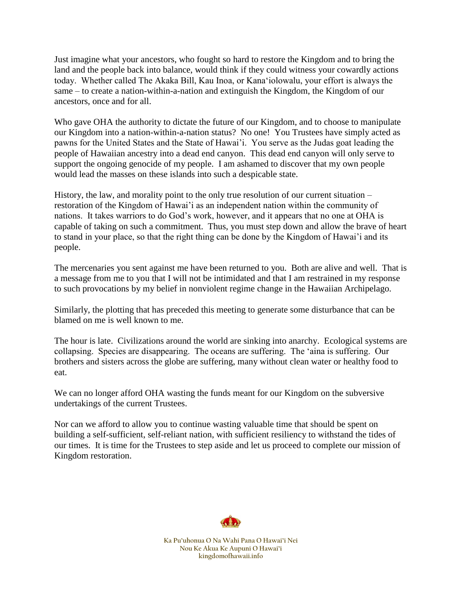Just imagine what your ancestors, who fought so hard to restore the Kingdom and to bring the land and the people back into balance, would think if they could witness your cowardly actions today. Whether called The Akaka Bill, Kau Inoa, or Kanaʻiolowalu, your effort is always the same – to create a nation-within-a-nation and extinguish the Kingdom, the Kingdom of our ancestors, once and for all.

Who gave OHA the authority to dictate the future of our Kingdom, and to choose to manipulate our Kingdom into a nation-within-a-nation status? No one! You Trustees have simply acted as pawns for the United States and the State of Hawai'i. You serve as the Judas goat leading the people of Hawaiian ancestry into a dead end canyon. This dead end canyon will only serve to support the ongoing genocide of my people. I am ashamed to discover that my own people would lead the masses on these islands into such a despicable state.

History, the law, and morality point to the only true resolution of our current situation – restoration of the Kingdom of Hawai'i as an independent nation within the community of nations. It takes warriors to do God's work, however, and it appears that no one at OHA is capable of taking on such a commitment. Thus, you must step down and allow the brave of heart to stand in your place, so that the right thing can be done by the Kingdom of Hawai'i and its people.

The mercenaries you sent against me have been returned to you. Both are alive and well. That is a message from me to you that I will not be intimidated and that I am restrained in my response to such provocations by my belief in nonviolent regime change in the Hawaiian Archipelago.

Similarly, the plotting that has preceded this meeting to generate some disturbance that can be blamed on me is well known to me.

The hour is late. Civilizations around the world are sinking into anarchy. Ecological systems are collapsing. Species are disappearing. The oceans are suffering. The 'aina is suffering. Our brothers and sisters across the globe are suffering, many without clean water or healthy food to eat.

We can no longer afford OHA wasting the funds meant for our Kingdom on the subversive undertakings of the current Trustees.

Nor can we afford to allow you to continue wasting valuable time that should be spent on building a self-sufficient, self-reliant nation, with sufficient resiliency to withstand the tides of our times. It is time for the Trustees to step aside and let us proceed to complete our mission of Kingdom restoration.